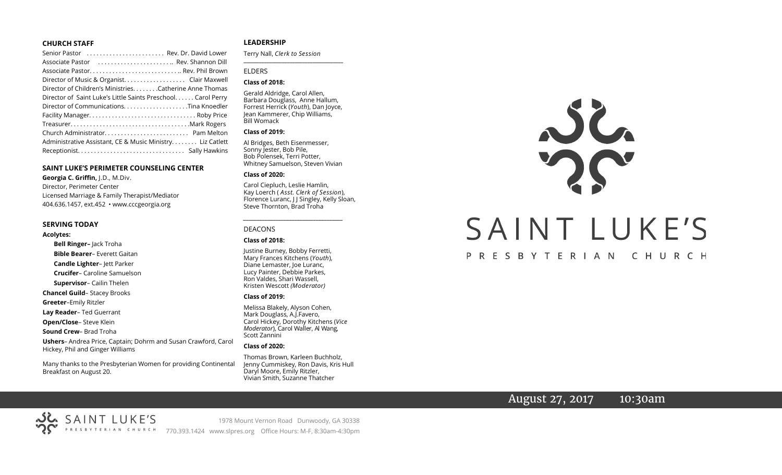#### **CHURCH STAFF**

| Senior Pastor  Rev. Dr. David Lower                           |
|---------------------------------------------------------------|
| Associate Pastor  Rev. Shannon Dill                           |
|                                                               |
| Director of Music & Organist. Clair Maxwell                   |
| Director of Children's Ministries. Catherine Anne Thomas      |
| Director of Saint Luke's Little Saints Preschool. Carol Perry |
|                                                               |
|                                                               |
|                                                               |
|                                                               |
| Administrative Assistant, CE & Music Ministry Liz Catlett     |
|                                                               |

#### **SAINT LUKE'S PERIMETER COUNSELING CENTER**

**Georgia C. Griffin,** J.D., M.Div. Director, Perimeter Center Licensed Marriage & Family Therapist/Mediator 404.636.1457, ext.452 • www.cccgeorgia.org

#### **SERVING TODAY**

#### **Acolytes:**

**Bell Ringer–** Jack Troha **Bible Bearer**– Everett Gaitan **Candle Lighter**– Jett Parker **Crucifer**– Caroline Samuelson **Supervisor**– Cailin Thelen **Chancel Guild**– Stacey Brooks **Greeter**–Emily Ritzler **Lay Reader**– Ted Guerrant **Open/Close**– Steve Klein **Sound Crew**– Brad Troha **Ushers**– Andrea Price, Captain; Dohrm and Susan Crawford, Carol Hickey, Phil and Ginger Williams

Many thanks to the Presbyterian Women for providing Continental Breakfast on August 20.

#### **LEADERSHIP**

Terry Nall, *Clerk to Session*  **\_\_\_\_\_\_\_\_\_\_\_\_\_\_\_\_\_\_\_\_\_\_\_\_\_\_\_\_\_\_\_\_\_\_\_\_\_\_\_**

### ELDERS

#### **Class of 2018:**

Gerald Aldridge, Carol Allen, Barbara Douglass, Anne Hallum, Forrest Herrick (*Youth*), Dan Joyce, Jean Kammerer, Chip Williams, Bill Womack

#### **Class of 2019:**

Al Bridges, Beth Eisenmesser, Sonny Jester, Bob Pile, Bob Polensek, Terri Potter, Whitney Samuelson, Steven Vivian

#### **Class of 2020:**

Carol Ciepluch, Leslie Hamlin, Kay Loerch ( *Asst. Clerk of Session*), Florence Luranc, J J Singley, Kelly Sloan, Steve Thornton, Brad Troha

*\_\_\_\_\_\_\_\_\_\_\_\_\_\_\_\_\_\_\_\_\_\_\_\_\_\_\_\_\_\_\_\_\_\_\_\_\_*

#### DEACONS

#### **Class of 2018:**

Justine Burney, Bobby Ferretti, Mary Frances Kitchens (*Youth*), Diane Lemaster, Joe Luranc, Lucy Painter, Debbie Parkes, Ron Valdes, Shari Wassell, Kristen Wescott *(Moderator)*

#### **Class of 2019:**

Melissa Blakely, Alyson Cohen, Mark Douglass, A.J.Favero, Carol Hickey, Dorothy Kitchens (*Vice Moderator*), Carol Waller, Al Wang, Scott Zannini

#### **Class of 2020:**

Thomas Brown, Karleen Buchholz, Jenny Cummiskey, Ron Davis, Kris Hull Daryl Moore, Emily Ritzler, Vivian Smith, Suzanne Thatcher



# August 27, 2017 10:30am



1978 Mount Vernon Road Dunwoody, GA 30338 770.393.1424 www.slpres.org Office Hours: M-F, 8:30am-4:30pm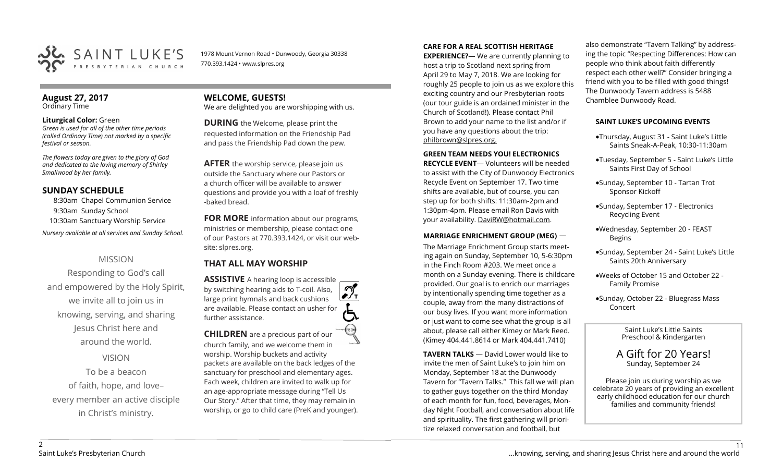

1978 Mount Vernon Road • Dunwoody, Georgia 30338 770.393.1424 • www.slpres.org

#### **August 27, 2017**  Ordinary Time

### **Liturgical Color:** Green

*Green is used for all of the other time periods (called Ordinary Time) not marked by a specific festival or season.*

*The flowers today are given to the glory of God and dedicated to the loving memory of Shirley Smallwood by her family.* 

# **SUNDAY SCHEDULE**

8:30am Chapel Communion Service 9:30am Sunday School 10:30am Sanctuary Worship Service *Nursery available at all services and Sunday School.* 

# MISSION

Responding to God's call and empowered by the Holy Spirit, we invite all to join us in knowing, serving, and sharing Jesus Christ here and around the world.

VISION

To be a beacon of faith, hope, and love– every member an active disciple in Christ's ministry.

**WELCOME, GUESTS!**  We are delighted you are worshipping with us.

**DURING** the Welcome, please print the requested information on the Friendship Pad and pass the Friendship Pad down the pew.

**AFTER** the worship service, please join us outside the Sanctuary where our Pastors or a church officer will be available to answer questions and provide you with a loaf of freshly -baked bread.

**FOR MORE** information about our programs, ministries or membership, please contact one of our Pastors at 770.393.1424, or visit our website: slpres.org.

# **THAT ALL MAY WORSHIP**

**ASSISTIVE** A hearing loop is accessible പ് by switching hearing aids to T-coil. Also,  $\frac{1}{\sqrt{1}}$ large print hymnals and back cushions are available. Please contact an usher for further assistance.

**CHILDREN** are a precious part of our church family, and we welcome them in worship. Worship buckets and activity packets are available on the back ledges of the sanctuary for preschool and elementary ages. Each week, children are invited to walk up for an age-appropriate message during "Tell Us Our Story." After that time, they may remain in worship, or go to child care (PreK and younger).

# **CARE FOR A REAL SCOTTISH HERITAGE**

**EXPERIENCE?**— We are currently planning to host a trip to Scotland next spring from April 29 to May 7, 2018. We are looking for roughly 25 people to join us as we explore this exciting country and our Presbyterian roots (our tour guide is an ordained minister in the Church of Scotland!). Please contact Phil Brown to add your name to the list and/or if you have any questions about the trip: philbrown@slpres.org.

### **GREEN TEAM NEEDS YOU! ELECTRONICS**

**RECYCLE EVENT**— Volunteers will be needed to assist with the City of Dunwoody Electronics Recycle Event on September 17. Two time shifts are available, but of course, you can step up for both shifts: 11:30am-2pm and 1:30pm-4pm. Please email Ron Davis with your availability. DaviRW@hotmail.com.

# **MARRIAGE ENRICHMENT GROUP (MEG)** —

The Marriage Enrichment Group starts meeting again on Sunday, September 10, 5-6:30pm in the Finch Room #203. We meet once a month on a Sunday evening. There is childcare provided. Our goal is to enrich our marriages by intentionally spending time together as a couple, away from the many distractions of our busy lives. If you want more information or just want to come see what the group is all about, please call either Kimey or Mark Reed. (Kimey 404.441.8614 or Mark 404.441.7410)

**TAVERN TALKS** — David Lower would like to invite the men of Saint Luke's to join him on Monday, September 18 at the Dunwoody Tavern for "Tavern Talks." This fall we will plan to gather guys together on the third Monday of each month for fun, food, beverages, Monday Night Football, and conversation about life and spirituality. The first gathering will prioritize relaxed conversation and football, but

also demonstrate "Tavern Talking" by addressing the topic "Respecting Differences: How can people who think about faith differently respect each other well?" Consider bringing a friend with you to be filled with good things! The Dunwoody Tavern address is 5488 Chamblee Dunwoody Road.

## **SAINT LUKE'S UPCOMING EVENTS**

- Thursday, August 31 Saint Luke's Little Saints Sneak-A-Peak, 10:30-11:30am
- Tuesday, September 5 Saint Luke's Little Saints First Day of School
- Sunday, September 10 Tartan Trot Sponsor Kickoff
- Sunday, September 17 Electronics Recycling Event
- Wednesday, September 20 FEAST Begins
- Sunday, September 24 Saint Luke's Little Saints 20th Anniversary
- Weeks of October 15 and October 22 Family Promise
- Sunday, October 22 Bluegrass Mass Concert

Saint Luke's Little Saints Preschool & Kindergarten

A Gift for 20 Years! Sunday, September 24

Please join us during worship as we celebrate 20 years of providing an excellent early childhood education for our church families and community friends!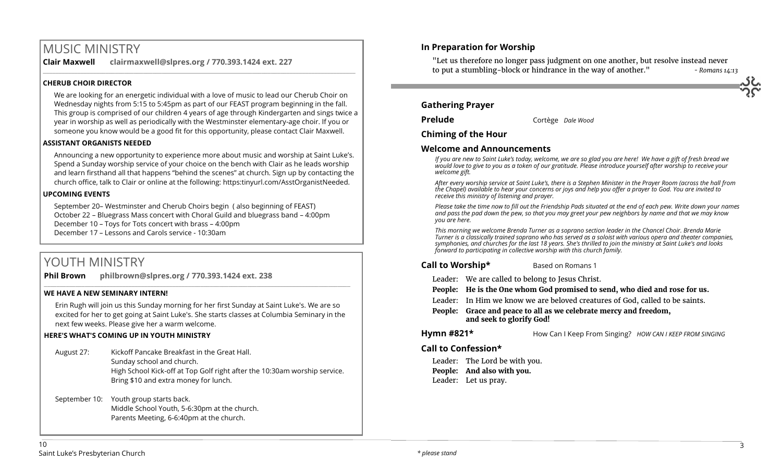# MUSIC MINISTRY

**Clair Maxwell clairmaxwell@slpres.org / 770.393.1424 ext. 227** 

# **CHERUB CHOIR DIRECTOR**

We are looking for an energetic individual with a love of music to lead our Cherub Choir on Wednesday nights from 5:15 to 5:45pm as part of our FEAST program beginning in the fall. This group is comprised of our children 4 years of age through Kindergarten and sings twice a year in worship as well as periodically with the Westminster elementary-age choir. If you or someone you know would be a good fit for this opportunity, please contact Clair Maxwell.

\_\_\_\_\_\_\_\_\_\_\_\_\_\_\_\_\_\_\_\_\_\_\_\_\_\_\_\_\_\_\_\_\_\_\_\_\_\_\_\_\_\_\_\_\_\_\_\_\_\_\_\_\_\_\_\_\_\_\_\_\_\_\_\_\_\_\_\_\_\_\_\_\_\_\_\_\_\_\_\_\_\_\_\_\_\_\_\_\_\_\_\_\_\_\_\_\_\_\_\_

## **ASSISTANT ORGANISTS NEEDED**

Announcing a new opportunity to experience more about music and worship at Saint Luke's. Spend a Sunday worship service of your choice on the bench with Clair as he leads worship and learn firsthand all that happens "behind the scenes" at church. Sign up by contacting the church office, talk to Clair or online at the following: https:tinyurl.com/AsstOrganistNeeded.

## **UPCOMING EVENTS**

September 20– Westminster and Cherub Choirs begin ( also beginning of FEAST) October 22 – Bluegrass Mass concert with Choral Guild and bluegrass band – 4:00pm December 10 – Toys for Tots concert with brass – 4:00pm December 17 – Lessons and Carols service - 10:30am

# YOUTH MINISTRY

**Phil Brown philbrown@slpres.org / 770.393.1424 ext. 238** 

## **WE HAVE A NEW SEMINARY INTERN!**

Erin Rugh will join us this Sunday morning for her first Sunday at Saint Luke's. We are so excited for her to get going at Saint Luke's. She starts classes at Columbia Seminary in the next few weeks. Please give her a warm welcome.

 $\_$  ,  $\_$  ,  $\_$  ,  $\_$  ,  $\_$  ,  $\_$  ,  $\_$  ,  $\_$  ,  $\_$  ,  $\_$  ,  $\_$  ,  $\_$  ,  $\_$  ,  $\_$  ,  $\_$  ,  $\_$  ,  $\_$  ,  $\_$  ,  $\_$  ,  $\_$  ,  $\_$  ,  $\_$  ,  $\_$  ,  $\_$  ,  $\_$  ,  $\_$  ,  $\_$  ,  $\_$  ,  $\_$  ,  $\_$  ,  $\_$  ,  $\_$  ,  $\_$  ,  $\_$  ,  $\_$  ,  $\_$  ,  $\_$  ,

# **HERE'S WHAT'S COMING UP IN YOUTH MINISTRY**

August 27: Kickoff Pancake Breakfast in the Great Hall. Sunday school and church. High School Kick-off at Top Golf right after the 10:30am worship service. Bring \$10 and extra money for lunch.

September 10: Youth group starts back. Middle School Youth, 5-6:30pm at the church. Parents Meeting, 6-6:40pm at the church.

# **In Preparation for Worship**

"Let us therefore no longer pass judgment on one another, but resolve instead never to put a stumbling-block or hindrance in the way of another." *- Romans 14:13* 

## **Gathering Prayer**

**Chiming of the Hour**

**Prelude** Cortège *Dale Wood*

# **Welcome and Announcements**

*If you are new to Saint Luke's today, welcome, we are so glad you are here! We have a gift of fresh bread we would love to give to you as a token of our gratitude. Please introduce yourself after worship to receive your welcome gift.*

*After every worship service at Saint Luke's, there is a Stephen Minister in the Prayer Room (across the hall from the Chapel) available to hear your concerns or joys and help you offer a prayer to God. You are invited to receive this ministry of listening and prayer.*

*Please take the time now to fill out the Friendship Pads situated at the end of each pew. Write down your names and pass the pad down the pew, so that you may greet your pew neighbors by name and that we may know you are here.*

*This morning we welcome Brenda Turner as a soprano section leader in the Chancel Choir. Brenda Marie Turner is a classically trained soprano who has served as a soloist with various opera and theater companies, symphonies, and churches for the last 18 years. She's thrilled to join the ministry at Saint Luke's and looks forward to participating in collective worship with this church family.* 

## **Call to Worship\*** Based on Romans 1

- Leader: We are called to belong to Jesus Christ.
- **People: He is the One whom God promised to send, who died and rose for us.**
- Leader: In Him we know we are beloved creatures of God, called to be saints.
- **People: Grace and peace to all as we celebrate mercy and freedom, and seek to glorify God!**

**Hymn #821\*** How Can I Keep From Singing? HOW CAN I KEEP FROM SINGING

# **Call to Confession\***

Leader: The Lord be with you. **People: And also with you.** Leader: Let us pray.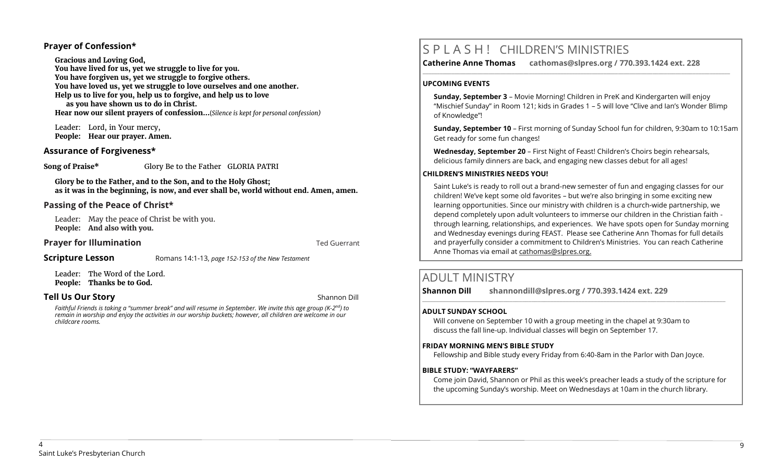## **Prayer of Confession\***

**Gracious and Loving God, You have lived for us, yet we struggle to live for you. You have forgiven us, yet we struggle to forgive others. You have loved us, yet we struggle to love ourselves and one another. Help us to live for you, help us to forgive, and help us to love as you have shown us to do in Christ. Hear now our silent prayers of confession…**(*Silence is kept for personal confession)* 

Leader: Lord, in Your mercy, **People: Hear our prayer. Amen.**

## **Assurance of Forgiveness\***

**Song of Praise\*** Glory Be to the Father GLORIA PATRI

**Glory be to the Father, and to the Son, and to the Holy Ghost; as it was in the beginning, is now, and ever shall be, world without end. Amen, amen.**

## **Passing of the Peace of Christ\***

Leader: May the peace of Christ be with you. **People: And also with you.**

## **Prayer for Illumination Ted Guerrant Prayer for Illumination**

**Scripture Lesson** Romans 14:1-13, page 152-153 of the New Testament

Leader: The Word of the Lord. **People: Thanks be to God.**

## **Tell Us Our Story Shannon Dill Contract Contract Contract Contract Contract Contract Contract Contract Contract Contract Contract Contract Contract Contract Contract Contract Contract Contract Contract Contract Contra**

*Faithful Friends is taking a "summer break" and will resume in September. We invite this age group (K-2 nd) to remain in worship and enjoy the activities in our worship buckets; however, all children are welcome in our childcare rooms.*

# S P L A S H ! CHILDREN'S MINISTRIES

**Catherine Anne Thomas cathomas@slpres.org / 770.393.1424 ext. 228** 

#### **UPCOMING EVENTS**

**Sunday, September 3** – Movie Morning! Children in PreK and Kindergarten will enjoy "Mischief Sunday" in Room 121; kids in Grades 1 – 5 will love "Clive and Ian's Wonder Blimp of Knowledge"!

**\_\_\_\_\_\_\_\_\_\_\_\_\_\_\_\_\_\_\_\_\_\_\_\_\_\_\_\_\_\_\_\_\_\_\_\_\_\_\_\_\_\_\_\_\_\_\_\_\_\_\_\_\_\_\_\_\_\_\_\_\_\_\_\_\_\_\_\_\_\_\_\_\_\_\_\_\_\_\_\_\_\_\_\_\_\_\_\_\_\_\_\_\_\_\_\_\_\_\_\_\_\_\_\_\_\_\_** 

**Sunday, September 10** – First morning of Sunday School fun for children, 9:30am to 10:15am Get ready for some fun changes!

**Wednesday, September 20** – First Night of Feast! Children's Choirs begin rehearsals, delicious family dinners are back, and engaging new classes debut for all ages!

### **CHILDREN'S MINISTRIES NEEDS YOU!**

Saint Luke's is ready to roll out a brand-new semester of fun and engaging classes for our children! We've kept some old favorites – but we're also bringing in some exciting new learning opportunities. Since our ministry with children is a church-wide partnership, we depend completely upon adult volunteers to immerse our children in the Christian faith through learning, relationships, and experiences. We have spots open for Sunday morning and Wednesday evenings during FEAST. Please see Catherine Ann Thomas for full details and prayerfully consider a commitment to Children's Ministries. You can reach Catherine Anne Thomas via email at cathomas@slpres.org.

# ADULT MINISTRY

**Shannon Dill shannondill@slpres.org / 770.393.1424 ext. 229** 

### **ADULT SUNDAY SCHOOL**

Will convene on September 10 with a group meeting in the chapel at 9:30am to discuss the fall line-up. Individual classes will begin on September 17.

#### **FRIDAY MORNING MEN'S BIBLE STUDY**

Fellowship and Bible study every Friday from 6:40-8am in the Parlor with Dan Joyce.

 $\_$  ,  $\_$  ,  $\_$  ,  $\_$  ,  $\_$  ,  $\_$  ,  $\_$  ,  $\_$  ,  $\_$  ,  $\_$  ,  $\_$  ,  $\_$  ,  $\_$  ,  $\_$  ,  $\_$  ,  $\_$  ,  $\_$  ,  $\_$  ,  $\_$ 

#### **BIBLE STUDY: "WAYFARERS"**

Come join David, Shannon or Phil as this week's preacher leads a study of the scripture for the upcoming Sunday's worship. Meet on Wednesdays at 10am in the church library.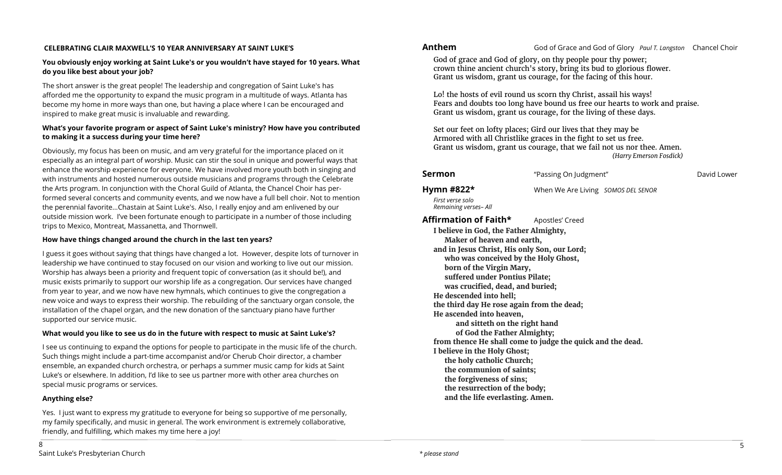## **CELEBRATING CLAIR MAXWELL'S 10 YEAR ANNIVERSARY AT SAINT LUKE'S**

# **You obviously enjoy working at Saint Luke's or you wouldn't have stayed for 10 years. What do you like best about your job?**

The short answer is the great people! The leadership and congregation of Saint Luke's has afforded me the opportunity to expand the music program in a multitude of ways. Atlanta has become my home in more ways than one, but having a place where I can be encouraged and inspired to make great music is invaluable and rewarding.

# **What's your favorite program or aspect of Saint Luke's ministry? How have you contributed to making it a success during your time here?**

Obviously, my focus has been on music, and am very grateful for the importance placed on it especially as an integral part of worship. Music can stir the soul in unique and powerful ways that enhance the worship experience for everyone. We have involved more youth both in singing and with instruments and hosted numerous outside musicians and programs through the Celebrate the Arts program. In conjunction with the Choral Guild of Atlanta, the Chancel Choir has performed several concerts and community events, and we now have a full bell choir. Not to mention the perennial favorite…Chastain at Saint Luke's. Also, I really enjoy and am enlivened by our outside mission work. I've been fortunate enough to participate in a number of those including trips to Mexico, Montreat, Massanetta, and Thornwell.

# **How have things changed around the church in the last ten years?**

I guess it goes without saying that things have changed a lot. However, despite lots of turnover in leadership we have continued to stay focused on our vision and working to live out our mission. Worship has always been a priority and frequent topic of conversation (as it should be!), and music exists primarily to support our worship life as a congregation. Our services have changed from year to year, and we now have new hymnals, which continues to give the congregation a new voice and ways to express their worship. The rebuilding of the sanctuary organ console, the installation of the chapel organ, and the new donation of the sanctuary piano have further supported our service music.

# **What would you like to see us do in the future with respect to music at Saint Luke's?**

I see us continuing to expand the options for people to participate in the music life of the church. Such things might include a part-time accompanist and/or Cherub Choir director, a chamber ensemble, an expanded church orchestra, or perhaps a summer music camp for kids at Saint Luke's or elsewhere. In addition, I'd like to see us partner more with other area churches on special music programs or services.

# **Anything else?**

8

Yes. I just want to express my gratitude to everyone for being so supportive of me personally, my family specifically, and music in general. The work environment is extremely collaborative, friendly, and fulfilling, which makes my time here a joy!

**Anthem**God of Grace and God of Glory *Paul T. Langston* Chancel Choir

God of grace and God of glory, on thy people pour thy power; crown thine ancient church's story, bring its bud to glorious flower. Grant us wisdom, grant us courage, for the facing of this hour.

Lo! the hosts of evil round us scorn thy Christ, assail his ways! Fears and doubts too long have bound us free our hearts to work and praise. Grant us wisdom, grant us courage, for the living of these days.

Set our feet on lofty places; Gird our lives that they may be Armored with all Christlike graces in the fight to set us free. Grant us wisdom, grant us courage, that we fail not us nor thee. Amen. *(Harry Emerson Fosdick)* 

| Sermon                                                                                                                                                                                                                                                                                                                                                                                                                                                                                                                                                                                                                                                                                                                                 | "Passing On Judgment"              | David Lower |
|----------------------------------------------------------------------------------------------------------------------------------------------------------------------------------------------------------------------------------------------------------------------------------------------------------------------------------------------------------------------------------------------------------------------------------------------------------------------------------------------------------------------------------------------------------------------------------------------------------------------------------------------------------------------------------------------------------------------------------------|------------------------------------|-------------|
| Hymn #822*<br>First verse solo<br>Remaining verses- All                                                                                                                                                                                                                                                                                                                                                                                                                                                                                                                                                                                                                                                                                | When We Are Living SOMOS DEL SENOR |             |
| Affirmation of Faith*<br>Apostles' Creed<br>I believe in God, the Father Almighty,<br>Maker of heaven and earth,<br>and in Jesus Christ, His only Son, our Lord;<br>who was conceived by the Holy Ghost,<br>born of the Virgin Mary,<br>suffered under Pontius Pilate;<br>was crucified, dead, and buried;<br>He descended into hell;<br>the third day He rose again from the dead;<br>He ascended into heaven,<br>and sitteth on the right hand<br>of God the Father Almighty;<br>from thence He shall come to judge the quick and the dead.<br>I believe in the Holy Ghost;<br>the holy catholic Church;<br>the communion of saints;<br>the forgiveness of sins;<br>the resurrection of the body;<br>and the life everlasting. Amen. |                                    |             |